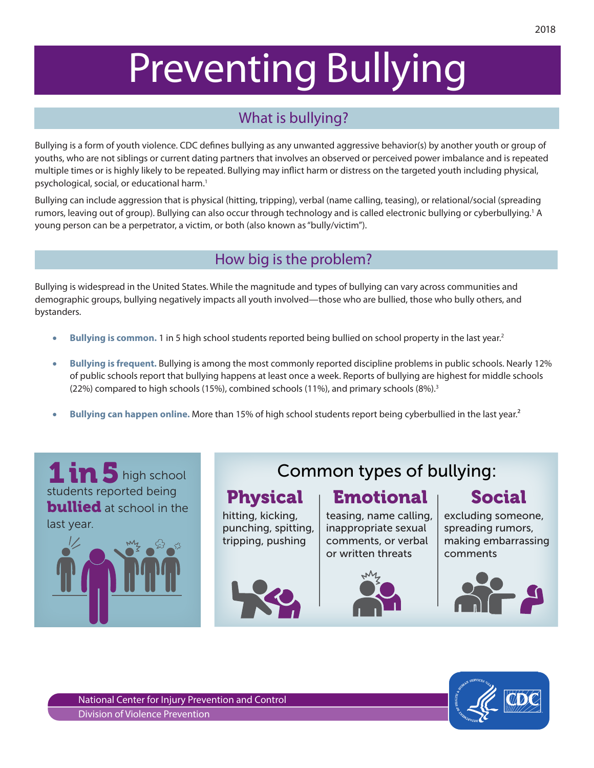# Preventing Bullying

# What is bullying?

Bullying is a form of youth violence. CDC defines bullying as any unwanted aggressive behavior(s) by another youth or group of youths, who are not siblings or current dating partners that involves an observed or perceived power imbalance and is repeated multiple times or is highly likely to be repeated. Bullying may inflict harm or distress on the targeted youth including physical, psychological, social, or educational harm.1

Bullying can include aggression that is physical (hitting, tripping), verbal (name calling, teasing), or relational/social (spreading rumors, leaving out of group). Bullying can also occur through technology and is called electronic bullying or cyberbullying.<sup>1</sup> A young person can be a perpetrator, a victim, or both (also known as "bully/victim").

## How big is the problem?

Bullying is widespread in the United States. While the magnitude and types of bullying can vary across communities and demographic groups, bullying negatively impacts all youth involved—those who are bullied, those who bully others, and bystanders.

- **Bullying is common.** 1 in 5 high school students reported being bullied on school property in the last year.<sup>2</sup>
- • **Bullying is frequent.** Bullying is among the most commonly reported discipline problems in public schools. Nearly 12% of public schools report that bullying happens at least once a week. Reports of bullying are highest for middle schools (22%) compared to high schools (15%), combined schools (11%), and primary schools (8%).<sup>3</sup>
- **Bullying can happen online.** More than 15% of high school students report being cyberbullied in the last year.<sup>2</sup>



# Common types of bullying:

# Physical Emotional Social

hitting, kicking, punching, spitting, tripping, pushing





excluding someone, spreading rumors, making embarrassing comments